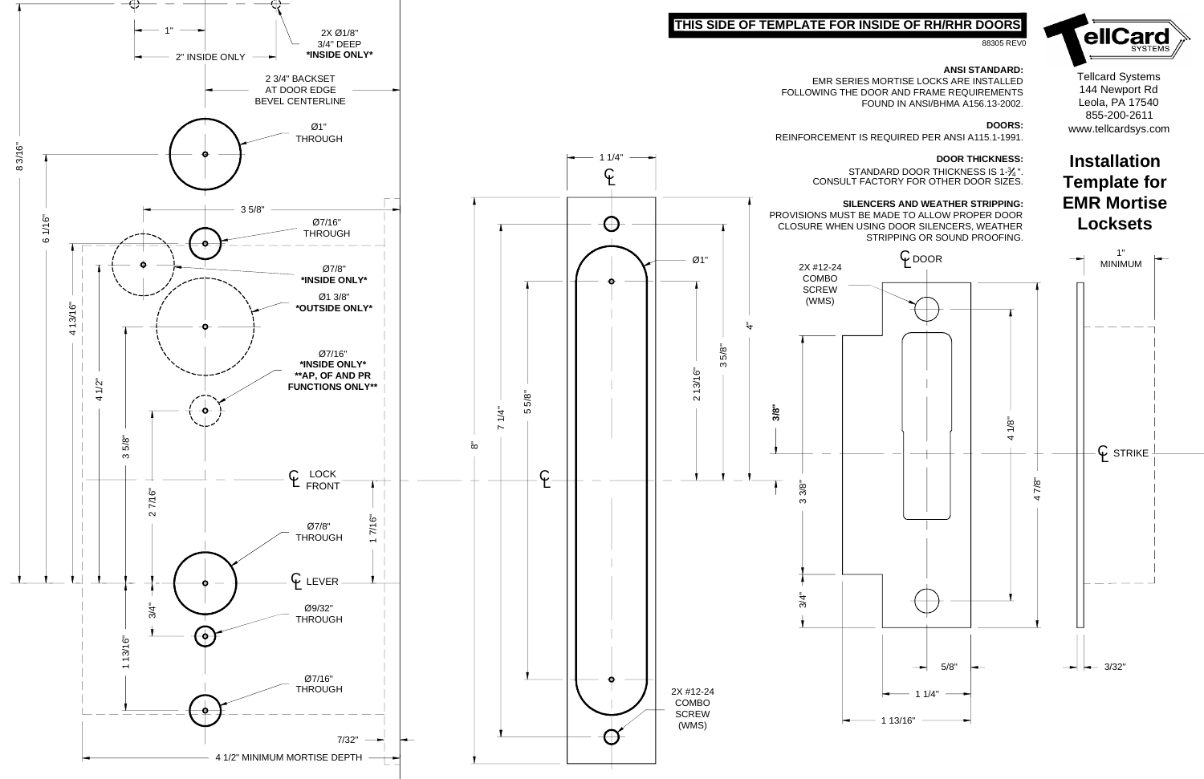